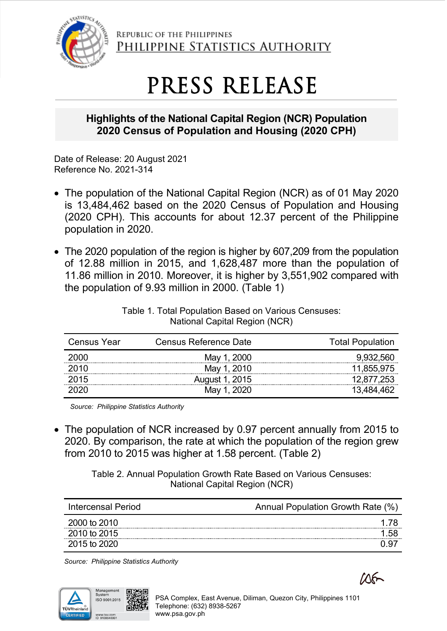

REPUBLIC OF THE PHILIPPINES PHILIPPINE STATISTICS AUTHORITY

## PRESS RELEASE

## **Highlights of the National Capital Region (NCR) Population 2020 Census of Population and Housing (2020 CPH)**

Date of Release: 20 August 2021 Reference No. 2021-314

- The population of the National Capital Region (NCR) as of 01 May 2020 is 13,484,462 based on the 2020 Census of Population and Housing (2020 CPH). This accounts for about 12.37 percent of the Philippine population in 2020.
- The 2020 population of the region is higher by 607,209 from the population of 12.88 million in 2015, and 1,628,487 more than the population of 11.86 million in 2010. Moreover, it is higher by 3,551,902 compared with the population of 9.93 million in 2000. (Table 1)

| <b>Census Year</b> | Census Reference Date | <b>Total Population</b> |
|--------------------|-----------------------|-------------------------|
| 2000               | May 1, 2000           | 9.932.560               |
| 2010               | May 1, 2010           | 11,855,975              |
| 2015               | August 1, 2015        | 12.877.253              |
|                    | May 1, 2020           |                         |

Table 1. Total Population Based on Various Censuses: National Capital Region (NCR)

*Source: Philippine Statistics Authority*

• The population of NCR increased by 0.97 percent annually from 2015 to 2020. By comparison, the rate at which the population of the region grew from 2010 to 2015 was higher at 1.58 percent. (Table 2)

> Table 2. Annual Population Growth Rate Based on Various Censuses: National Capital Region (NCR)

| Intercensal Period | Annual Population Growth Rate (%) |
|--------------------|-----------------------------------|
| 2000 to 2010       |                                   |
| 2010 to 2015       |                                   |
| 2015 to 2020       |                                   |

*Source: Philippine Statistics Authority*



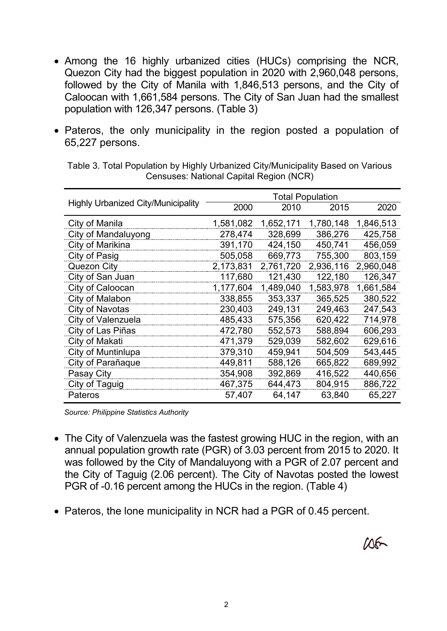- Among the 16 highly urbanized cities (HUCs) comprising the NCR, Quezon City had the biggest population in 2020 with 2,960,048 persons, followed by the City of Manila with 1,846,513 persons, and the City of Caloocan with 1,661,584 persons. The City of San Juan had the smallest population with 126,347 persons. (Table 3)
- Pateros, the only municipality in the region posted a population of 65,227 persons.

|                                           | <b>Total Population</b> |           |           |           |
|-------------------------------------------|-------------------------|-----------|-----------|-----------|
| <b>Highly Urbanized City/Municipality</b> | 2000                    | 2010      | 2015      | 2020      |
| City of Manila                            | 1,581,082               | 1,652,171 | 1,780,148 | 1,846,513 |
| City of Mandaluyong                       | 278,474                 | 328,699   | 386,276   | 425,758   |
| City of Marikina                          | 391,170                 | 424,150   | 450,741   | 456,059   |
| City of Pasig                             | 505,058                 | 669,773   | 755,300   | 803,159   |
| Quezon City                               | 2,173,831               | 2,761,720 | 2,936,116 | 2,960,048 |
| City of San Juan                          | 117,680                 | 121,430   | 122,180   | 126,347   |
| City of Caloocan                          | 1,177,604               | 1,489,040 | 1,583,978 | 1,661,584 |
| City of Malabon                           | 338,855                 | 353,337   | 365,525   | 380,522   |
| City of Navotas                           | 230,403                 | 249,131   | 249,463   | 247,543   |
| City of Valenzuela                        | 485,433                 | 575,356   | 620,422   | 714,978   |
| City of Las Piñas                         | 472,780                 | 552,573   | 588,894   | 606,293   |
| City of Makati                            | 471,379                 | 529,039   | 582,602   | 629,616   |
| City of Muntinlupa                        | 379,310                 | 459,941   | 504,509   | 543,445   |
| City of Parañaque                         | 449,811                 | 588,126   | 665,822   | 689,992   |
| Pasay City                                | 354,908                 | 392,869   | 416,522   | 440,656   |
| City of Taguig                            | 467,375                 | 644,473   | 804,915   | 886,722   |
| Pateros                                   | 57,407                  | 64,147    | 63,840    | 65,227    |

Table 3. Total Population by Highly Urbanized City/Municipality Based on Various Censuses: National Capital Region (NCR)

*Source: Philippine Statistics Authority*

- The City of Valenzuela was the fastest growing HUC in the region, with an annual population growth rate (PGR) of 3.03 percent from 2015 to 2020. It was followed by the City of Mandaluyong with a PGR of 2.07 percent and the City of Taguig (2.06 percent). The City of Navotas posted the lowest PGR of -0.16 percent among the HUCs in the region. (Table 4)
- Pateros, the lone municipality in NCR had a PGR of 0.45 percent.

 $106 -$